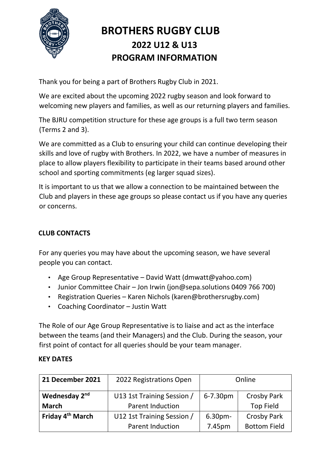

# **BROTHERS RUGBY CLUB 2022 U12 & U13 PROGRAM INFORMATION**

Thank you for being a part of Brothers Rugby Club in 2021.

We are excited about the upcoming 2022 rugby season and look forward to welcoming new players and families, as well as our returning players and families.

The BJRU competition structure for these age groups is a full two term season (Terms 2 and 3).

We are committed as a Club to ensuring your child can continue developing their skills and love of rugby with Brothers. In 2022, we have a number of measures in place to allow players flexibility to participate in their teams based around other school and sporting commitments (eg larger squad sizes).

It is important to us that we allow a connection to be maintained between the Club and players in these age groups so please contact us if you have any queries or concerns.

## **CLUB CONTACTS**

For any queries you may have about the upcoming season, we have several people you can contact.

- Age Group Representative David Watt (dmwatt@yahoo.com)
- Junior Committee Chair Jon Irwin (jon@sepa.solutions 0409 766 700)
- Registration Queries Karen Nichols (karen@brothersrugby.com)
- Coaching Coordinator Justin Watt

The Role of our Age Group Representative is to liaise and act as the interface between the teams (and their Managers) and the Club. During the season, your first point of contact for all queries should be your team manager.

#### **KEY DATES**

| 21 December 2021             | 2022 Registrations Open    | Online             |                     |
|------------------------------|----------------------------|--------------------|---------------------|
| Wednesday 2 <sup>nd</sup>    | U13 1st Training Session / | 6-7.30pm           | <b>Crosby Park</b>  |
| <b>March</b>                 | <b>Parent Induction</b>    |                    | <b>Top Field</b>    |
| Friday 4 <sup>th</sup> March | U12 1st Training Session / | 6.30 <sub>pm</sub> | <b>Crosby Park</b>  |
|                              | <b>Parent Induction</b>    | 7.45pm             | <b>Bottom Field</b> |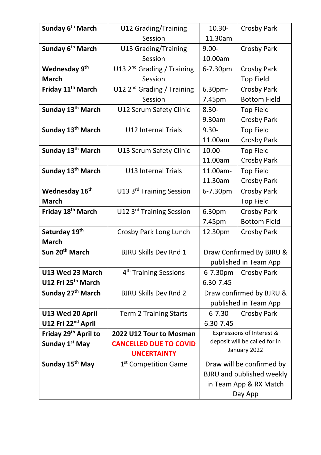| Sunday 6 <sup>th</sup> March     | U12 Grading/Training                   | $10.30 -$                                     | <b>Crosby Park</b>        |  |
|----------------------------------|----------------------------------------|-----------------------------------------------|---------------------------|--|
|                                  | Session                                | 11.30am                                       |                           |  |
| Sunday 6 <sup>th</sup> March     | <b>U13 Grading/Training</b>            | $9.00 -$                                      | Crosby Park               |  |
|                                  | Session                                | 10.00am                                       |                           |  |
| Wednesday 9th                    | U13 2 <sup>nd</sup> Grading / Training | 6-7.30pm                                      | Crosby Park               |  |
| <b>March</b>                     | Session                                |                                               | <b>Top Field</b>          |  |
| Friday 11 <sup>th</sup> March    | U12 $2nd$ Grading / Training           | 6.30 <sub>pm</sub>                            | Crosby Park               |  |
|                                  | Session                                | 7.45pm                                        | <b>Bottom Field</b>       |  |
| Sunday 13 <sup>th</sup> March    | U12 Scrum Safety Clinic                | $8.30 -$                                      | <b>Top Field</b>          |  |
|                                  |                                        | 9.30am                                        | <b>Crosby Park</b>        |  |
| Sunday 13 <sup>th</sup> March    | <b>U12 Internal Trials</b>             | $9.30 -$                                      | <b>Top Field</b>          |  |
|                                  |                                        | 11.00am                                       | Crosby Park               |  |
| Sunday 13 <sup>th</sup> March    | U13 Scrum Safety Clinic                | $10.00 -$                                     | <b>Top Field</b>          |  |
|                                  |                                        | 11.00am                                       | <b>Crosby Park</b>        |  |
| Sunday 13 <sup>th</sup> March    | <b>U13 Internal Trials</b>             | 11.00am-                                      | <b>Top Field</b>          |  |
|                                  |                                        | 11.30am                                       | Crosby Park               |  |
| Wednesday 16 <sup>th</sup>       | U13 3 <sup>rd</sup> Training Session   | 6-7.30pm                                      | <b>Crosby Park</b>        |  |
| <b>March</b>                     |                                        |                                               | <b>Top Field</b>          |  |
| Friday 18 <sup>th</sup> March    | U12 3 <sup>rd</sup> Training Session   | 6.30pm-                                       | Crosby Park               |  |
|                                  |                                        | 7.45pm                                        | <b>Bottom Field</b>       |  |
| Saturday 19th                    | Crosby Park Long Lunch                 | 12.30pm                                       | <b>Crosby Park</b>        |  |
| <b>March</b>                     |                                        |                                               |                           |  |
| Sun 20 <sup>th</sup> March       | <b>BJRU Skills Dev Rnd 1</b>           | Draw Confirmed By BJRU &                      |                           |  |
|                                  |                                        | published in Team App                         |                           |  |
| U13 Wed 23 March                 | 4 <sup>th</sup> Training Sessions      | 6-7.30pm                                      | <b>Crosby Park</b>        |  |
| U12 Fri 25 <sup>th</sup> March   |                                        | 6.30-7.45                                     |                           |  |
| Sunday 27 <sup>th</sup> March    | <b>BJRU Skills Dev Rnd 2</b>           | Draw confirmed by BJRU &                      |                           |  |
|                                  |                                        | published in Team App                         |                           |  |
| U13 Wed 20 April                 | <b>Term 2 Training Starts</b>          | $6 - 7.30$                                    | <b>Crosby Park</b>        |  |
| U12 Fri 22 <sup>nd</sup> April   |                                        | 6.30-7.45                                     |                           |  |
| Friday 29 <sup>th</sup> April to | 2022 U12 Tour to Mosman                |                                               | Expressions of Interest & |  |
| Sunday 1 <sup>st</sup> May       | <b>CANCELLED DUE TO COVID</b>          | deposit will be called for in<br>January 2022 |                           |  |
|                                  | <b>UNCERTAINTY</b>                     |                                               |                           |  |
| Sunday 15 <sup>th</sup> May      | 1 <sup>st</sup> Competition Game       | Draw will be confirmed by                     |                           |  |
|                                  |                                        | <b>BJRU</b> and published weekly              |                           |  |
|                                  |                                        | in Team App & RX Match                        |                           |  |
|                                  |                                        | Day App                                       |                           |  |